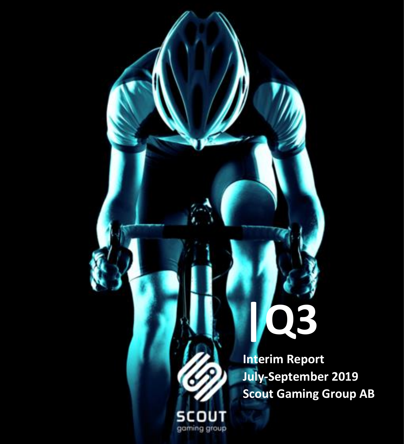**|Q3 Interim Report July-September 2019 Scout Gaming Group AB**

**SCOUT** gaming group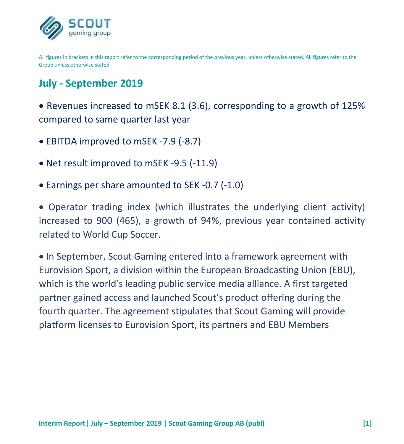

All figures in brackets in this report refer to the corresponding period of the previous year, unless otherwise stated. All figures refer to the Group unless otherwise stated

# **July - September 2019**

• Revenues increased to mSEK 8.1 (3.6), corresponding to a growth of 125% compared to same quarter last year

- EBITDA improved to mSEK -7.9 (-8.7)
- Net result improved to mSEK -9.5 (-11.9)
- Earnings per share amounted to SEK -0.7 (-1.0)

• Operator trading index (which illustrates the underlying client activity) increased to 900 (465), a growth of 94%, previous year contained activity related to World Cup Soccer.

• In September, Scout Gaming entered into a framework agreement with Eurovision Sport, a division within the European Broadcasting Union (EBU), which is the world's leading public service media alliance. A first targeted partner gained access and launched Scout's product offering during the fourth quarter. The agreement stipulates that Scout Gaming will provide platform licenses to Eurovision Sport, its partners and EBU Members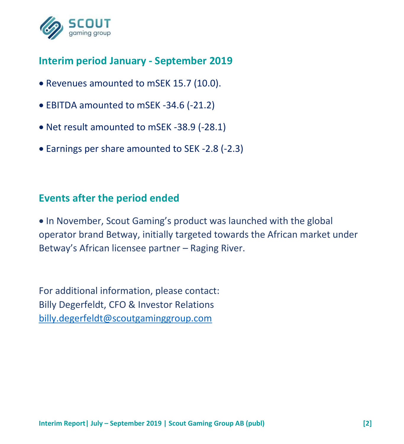

# **Interim period January - September 2019**

- Revenues amounted to mSEK 15.7 (10.0).
- EBITDA amounted to mSEK -34.6 (-21.2)
- Net result amounted to mSEK -38.9 (-28.1)
- Earnings per share amounted to SEK -2.8 (-2.3)

## **Events after the period ended**

• In November, Scout Gaming's product was launched with the global operator brand Betway, initially targeted towards the African market under Betway's African licensee partner – Raging River.

For additional information, please contact: Billy Degerfeldt, CFO & Investor Relations [billy.degerfeldt@scoutgaminggroup.com](mailto:billy.degerfeldt@scoutgaminggroup.com)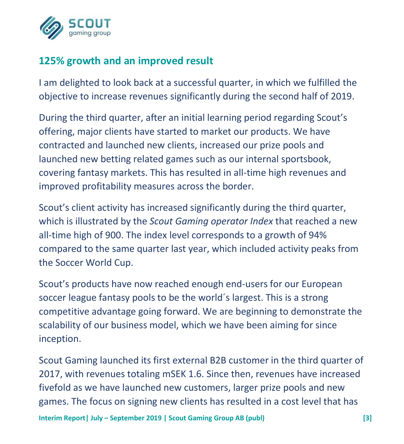

# **125% growth and an improved result**

I am delighted to look back at a successful quarter, in which we fulfilled the objective to increase revenues significantly during the second half of 2019.

During the third quarter, after an initial learning period regarding Scout's offering, major clients have started to market our products. We have contracted and launched new clients, increased our prize pools and launched new betting related games such as our internal sportsbook, covering fantasy markets. This has resulted in all-time high revenues and improved profitability measures across the border.

Scout's client activity has increased significantly during the third quarter, which is illustrated by the *Scout Gaming operator Index* that reached a new all-time high of 900. The index level corresponds to a growth of 94% compared to the same quarter last year, which included activity peaks from the Soccer World Cup.

Scout's products have now reached enough end-users for our European soccer league fantasy pools to be the world´s largest. This is a strong competitive advantage going forward. We are beginning to demonstrate the scalability of our business model, which we have been aiming for since inception.

Scout Gaming launched its first external B2B customer in the third quarter of 2017, with revenues totaling mSEK 1.6. Since then, revenues have increased fivefold as we have launched new customers, larger prize pools and new games. The focus on signing new clients has resulted in a cost level that has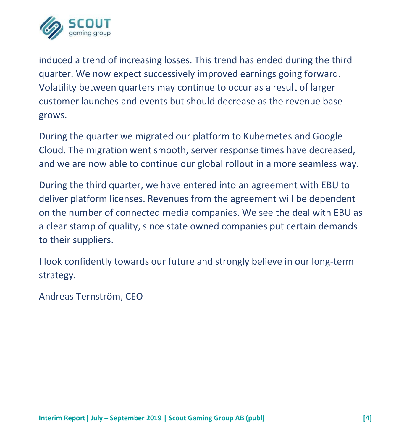

induced a trend of increasing losses. This trend has ended during the third quarter. We now expect successively improved earnings going forward. Volatility between quarters may continue to occur as a result of larger customer launches and events but should decrease as the revenue base grows.

During the quarter we migrated our platform to Kubernetes and Google Cloud. The migration went smooth, server response times have decreased, and we are now able to continue our global rollout in a more seamless way.

During the third quarter, we have entered into an agreement with EBU to deliver platform licenses. Revenues from the agreement will be dependent on the number of connected media companies. We see the deal with EBU as a clear stamp of quality, since state owned companies put certain demands to their suppliers.

I look confidently towards our future and strongly believe in our long-term strategy.

Andreas Ternström, CEO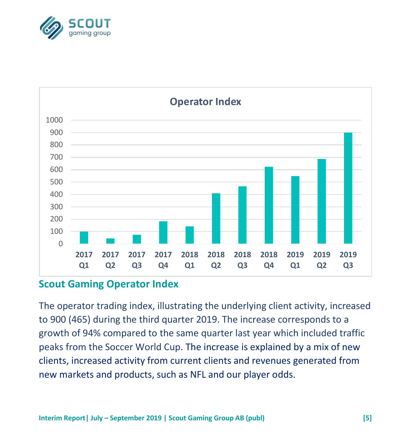



### **Scout Gaming Operator Index**

The operator trading index, illustrating the underlying client activity, increased to 900 (465) during the third quarter 2019. The increase corresponds to a growth of 94% compared to the same quarter last year which included traffic peaks from the Soccer World Cup. The increase is explained by a mix of new clients, increased activity from current clients and revenues generated from new markets and products, such as NFL and our player odds.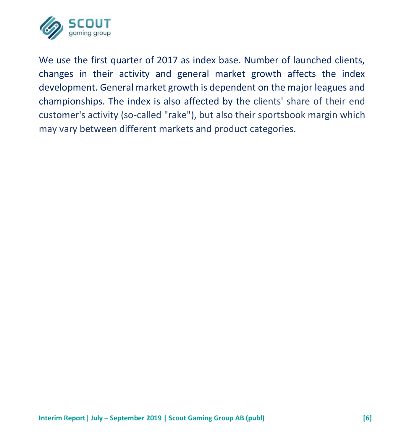

We use the first quarter of 2017 as index base. Number of launched clients, changes in their activity and general market growth affects the index development. General market growth is dependent on the major leagues and championships. The index is also affected by the clients' share of their end customer's activity (so-called "rake"), but also their sportsbook margin which may vary between different markets and product categories.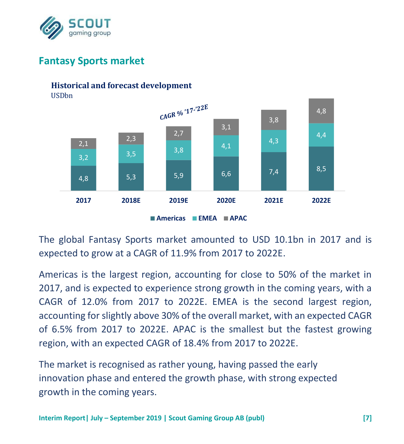

# **Fantasy Sports market**

#### 20 **Historical and forecast development**

18 USDbn



**Americas EMEA APAC**

The global Fantasy Sports market amounted to USD 10.1bn in 2017 and is expected to grow at a CAGR of 11.9% from 2017 to 2022E.

Americas is the largest region, accounting for close to 50% of the market in 2017, and is expected to experience strong growth in the coming years, with a CAGR of 12.0% from 2017 to 2022E. EMEA is the second largest region, accounting for slightly above 30% of the overall market, with an expected CAGR of 6.5% from 2017 to 2022E. APAC is the smallest but the fastest growing region, with an expected CAGR of 18.4% from 2017 to 2022E.

The market is recognised as rather young, having passed the early innovation phase and entered the growth phase, with strong expected growth in the coming years.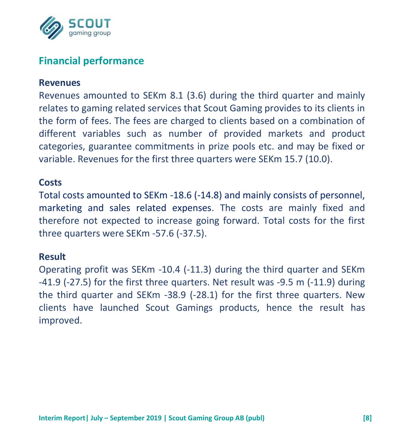

# **Financial performance**

#### **Revenues**

Revenues amounted to SEKm 8.1 (3.6) during the third quarter and mainly relates to gaming related services that Scout Gaming provides to its clients in the form of fees. The fees are charged to clients based on a combination of different variables such as number of provided markets and product categories, guarantee commitments in prize pools etc. and may be fixed or variable. Revenues for the first three quarters were SEKm 15.7 (10.0).

### **Costs**

Total costs amounted to SEKm -18.6 (-14.8) and mainly consists of personnel, marketing and sales related expenses. The costs are mainly fixed and therefore not expected to increase going forward. Total costs for the first three quarters were SEKm -57.6 (-37.5).

#### **Result**

Operating profit was SEKm -10.4 (-11.3) during the third quarter and SEKm -41.9 (-27.5) for the first three quarters. Net result was -9.5 m (-11.9) during the third quarter and SEKm -38.9 (-28.1) for the first three quarters. New clients have launched Scout Gamings products, hence the result has improved.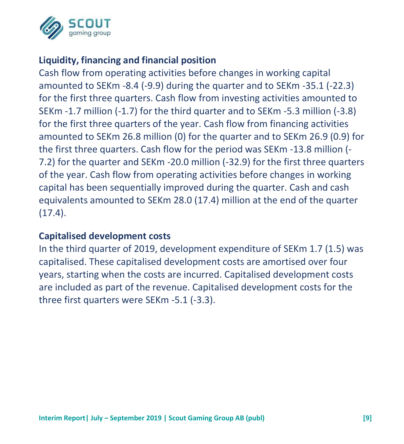

## **Liquidity, financing and financial position**

Cash flow from operating activities before changes in working capital amounted to SEKm -8.4 (-9.9) during the quarter and to SEKm -35.1 (-22.3) for the first three quarters. Cash flow from investing activities amounted to SEKm -1.7 million (-1.7) for the third quarter and to SEKm -5.3 million (-3.8) for the first three quarters of the year. Cash flow from financing activities amounted to SEKm 26.8 million (0) for the quarter and to SEKm 26.9 (0.9) for the first three quarters. Cash flow for the period was SEKm -13.8 million (- 7.2) for the quarter and SEKm -20.0 million (-32.9) for the first three quarters of the year. Cash flow from operating activities before changes in working capital has been sequentially improved during the quarter. Cash and cash equivalents amounted to SEKm 28.0 (17.4) million at the end of the quarter  $(17.4).$ 

#### **Capitalised development costs**

In the third quarter of 2019, development expenditure of SEKm 1.7 (1.5) was capitalised. These capitalised development costs are amortised over four years, starting when the costs are incurred. Capitalised development costs are included as part of the revenue. Capitalised development costs for the three first quarters were SEKm -5.1 (-3.3).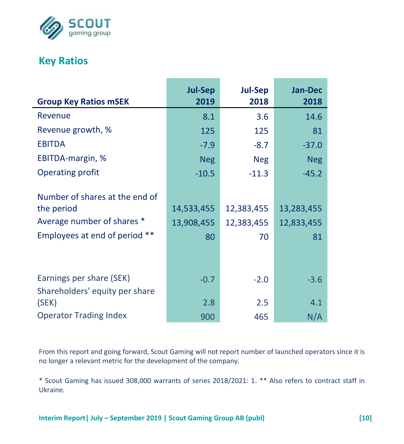

# **Key Ratios**

j.

|                                                                                                             | <b>Jul-Sep</b>                 | <b>Jul-Sep</b>                 | <b>Jan-Dec</b>                 |
|-------------------------------------------------------------------------------------------------------------|--------------------------------|--------------------------------|--------------------------------|
| <b>Group Key Ratios mSEK</b>                                                                                | 2019                           | 2018                           | 2018                           |
| Revenue                                                                                                     | 8.1                            | 3.6                            | 14.6                           |
| Revenue growth, %                                                                                           | 125                            | 125                            | 81                             |
| <b>EBITDA</b>                                                                                               | $-7.9$                         | $-8.7$                         | $-37.0$                        |
| EBITDA-margin, %                                                                                            | <b>Neg</b>                     | <b>Neg</b>                     | <b>Neg</b>                     |
| <b>Operating profit</b>                                                                                     | $-10.5$                        | $-11.3$                        | $-45.2$                        |
| Number of shares at the end of<br>the period<br>Average number of shares *<br>Employees at end of period ** | 14,533,455<br>13,908,455<br>80 | 12,383,455<br>12,383,455<br>70 | 13,283,455<br>12,833,455<br>81 |
| Earnings per share (SEK)                                                                                    | $-0.7$                         | $-2.0$                         | $-3.6$                         |
| Shareholders' equity per share<br>(SEK)                                                                     | 2.8                            | 2.5                            | 4.1                            |
| <b>Operator Trading Index</b>                                                                               | 900                            | 465                            | N/A                            |

From this report and going forward, Scout Gaming will not report number of launched operators since it is no longer a relevant metric for the development of the company.

\* Scout Gaming has issued 308,000 warrants of series 2018/2021: 1. \*\* Also refers to contract staff in Ukraine.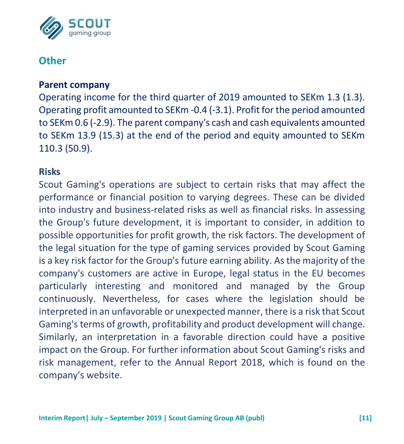

# **Other**

#### **Parent company**

Operating income for the third quarter of 2019 amounted to SEKm 1.3 (1.3). Operating profit amounted to SEKm -0.4 (-3.1). Profit for the period amounted to SEKm 0.6 (-2.9). The parent company's cash and cash equivalents amounted to SEKm 13.9 (15.3) at the end of the period and equity amounted to SEKm 110.3 (50.9).

#### **Risks**

Scout Gaming's operations are subject to certain risks that may affect the performance or financial position to varying degrees. These can be divided into industry and business-related risks as well as financial risks. In assessing the Group's future development, it is important to consider, in addition to possible opportunities for profit growth, the risk factors. The development of the legal situation for the type of gaming services provided by Scout Gaming is a key risk factor for the Group's future earning ability. As the majority of the company's customers are active in Europe, legal status in the EU becomes particularly interesting and monitored and managed by the Group continuously. Nevertheless, for cases where the legislation should be interpreted in an unfavorable or unexpected manner, there is a risk that Scout Gaming's terms of growth, profitability and product development will change. Similarly, an interpretation in a favorable direction could have a positive impact on the Group. For further information about Scout Gaming's risks and risk management, refer to the Annual Report 2018, which is found on the company's website.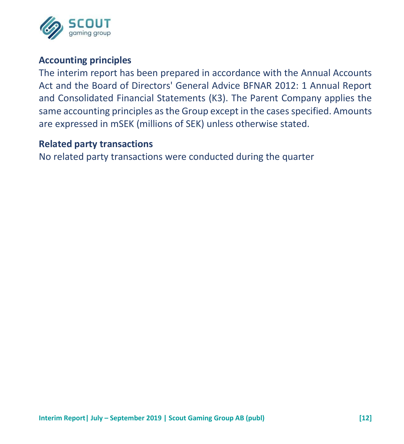

### **Accounting principles**

The interim report has been prepared in accordance with the Annual Accounts Act and the Board of Directors' General Advice BFNAR 2012: 1 Annual Report and Consolidated Financial Statements (K3). The Parent Company applies the same accounting principles as the Group except in the cases specified. Amounts are expressed in mSEK (millions of SEK) unless otherwise stated.

#### **Related party transactions**

No related party transactions were conducted during the quarter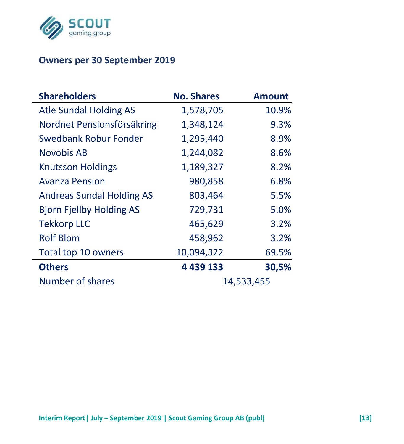

## **Owners per 30 September 2019**

| <b>Shareholders</b>              | <b>No. Shares</b> | <b>Amount</b> |
|----------------------------------|-------------------|---------------|
| <b>Atle Sundal Holding AS</b>    | 1,578,705         | 10.9%         |
| Nordnet Pensionsförsäkring       | 1,348,124         | 9.3%          |
| Swedbank Robur Fonder            | 1,295,440         | 8.9%          |
| Novobis AB                       | 1,244,082         | 8.6%          |
| <b>Knutsson Holdings</b>         | 1,189,327         | 8.2%          |
| <b>Avanza Pension</b>            | 980,858           | 6.8%          |
| <b>Andreas Sundal Holding AS</b> | 803,464           | 5.5%          |
| <b>Bjorn Fjellby Holding AS</b>  | 729,731           | 5.0%          |
| <b>Tekkorp LLC</b>               | 465,629           | 3.2%          |
| <b>Rolf Blom</b>                 | 458,962           | 3.2%          |
| Total top 10 owners              | 10,094,322        | 69.5%         |
| <b>Others</b>                    | 4 4 3 9 1 3 3     | 30,5%         |
| Number of shares                 |                   | 14,533,455    |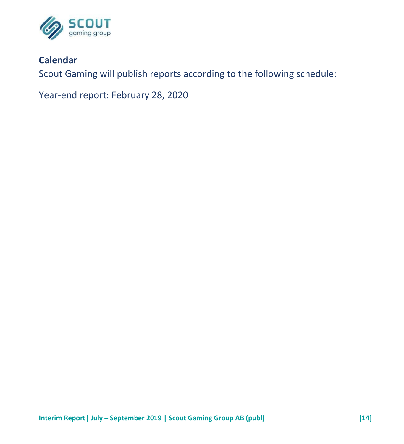

## **Calendar**

Scout Gaming will publish reports according to the following schedule:

Year-end report: February 28, 2020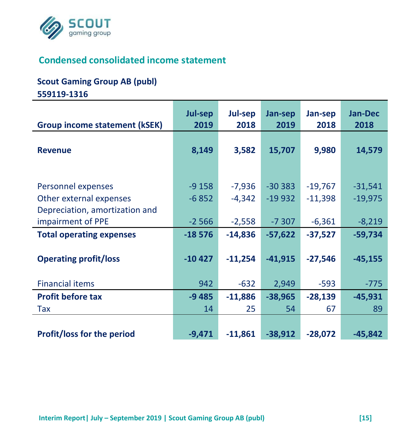

# **Condensed consolidated income statement**

#### **Scout Gaming Group AB (publ)**

**559119-1316**

|                                                                                 | Jul-sep              | Jul-sep                | Jan-sep                | Jan-sep                | Jan-Dec                |
|---------------------------------------------------------------------------------|----------------------|------------------------|------------------------|------------------------|------------------------|
| <b>Group income statement (kSEK)</b>                                            | 2019                 | 2018                   | 2019                   | 2018                   | 2018                   |
| <b>Revenue</b>                                                                  | 8,149                | 3,582                  | 15,707                 | 9,980                  | 14,579                 |
| Personnel expenses<br>Other external expenses<br>Depreciation, amortization and | $-9158$<br>$-6852$   | $-7,936$<br>$-4,342$   | $-30383$<br>$-19932$   | $-19,767$<br>$-11,398$ | $-31,541$<br>$-19,975$ |
| impairment of PPE                                                               | $-2566$              | $-2,558$               | $-7307$                | $-6,361$               | $-8,219$               |
| <b>Total operating expenses</b><br><b>Operating profit/loss</b>                 | $-18576$<br>$-10427$ | $-14,836$<br>$-11,254$ | $-57,622$<br>$-41,915$ | $-37,527$<br>$-27,546$ | $-59,734$<br>$-45,155$ |
| <b>Financial items</b>                                                          | 942                  | $-632$                 | 2,949                  | $-593$                 | $-775$                 |
| <b>Profit before tax</b>                                                        | $-9485$              | $-11,886$              | $-38,965$              | $-28,139$              | $-45,931$              |
| Tax                                                                             | 14                   | 25                     | 54                     | 67                     | 89                     |
| <b>Profit/loss for the period</b>                                               | $-9,471$             | $-11,861$              | $-38,912$              | $-28,072$              | $-45,842$              |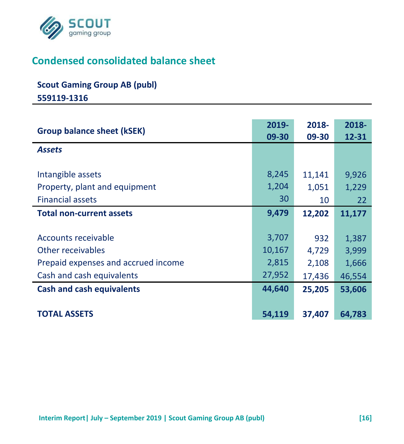

# **Condensed consolidated balance sheet**

# **Scout Gaming Group AB (publ)**

**559119-1316**

| <b>Group balance sheet (kSEK)</b>                                                                            | 2019-<br>09-30                     | 2018-<br>09-30                  | 2018-<br>12-31                    |
|--------------------------------------------------------------------------------------------------------------|------------------------------------|---------------------------------|-----------------------------------|
| <b>Assets</b>                                                                                                |                                    |                                 |                                   |
| Intangible assets<br>Property, plant and equipment                                                           | 8,245<br>1,204                     | 11,141<br>1,051                 | 9,926<br>1,229                    |
| <b>Financial assets</b>                                                                                      | 30                                 | 10                              | 22                                |
| <b>Total non-current assets</b>                                                                              | 9,479                              | 12,202                          | 11,177                            |
| Accounts receivable<br>Other receivables<br>Prepaid expenses and accrued income<br>Cash and cash equivalents | 3,707<br>10,167<br>2,815<br>27,952 | 932<br>4,729<br>2,108<br>17,436 | 1,387<br>3,999<br>1,666<br>46,554 |
| <b>Cash and cash equivalents</b>                                                                             | 44,640                             | 25,205                          | 53,606                            |
| <b>TOTAL ASSETS</b>                                                                                          | 54,119                             | 37,407                          | 64,783                            |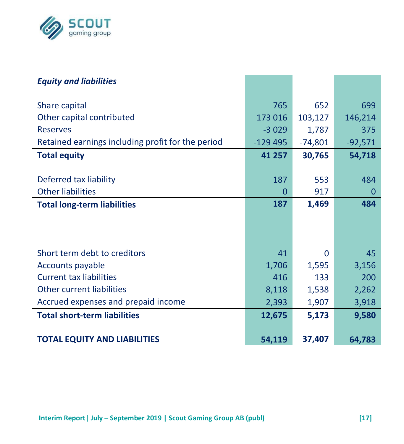

| <b>Equity and liabilities</b>                     |           |           |           |
|---------------------------------------------------|-----------|-----------|-----------|
| Share capital                                     | 765       | 652       | 699       |
| Other capital contributed                         | 173 016   | 103,127   | 146,214   |
| <b>Reserves</b>                                   | $-3029$   | 1,787     | 375       |
| Retained earnings including profit for the period | $-129495$ | $-74,801$ | $-92,571$ |
| <b>Total equity</b>                               | 41 257    | 30,765    | 54,718    |
|                                                   |           |           |           |
| Deferred tax liability                            | 187       | 553       | 484       |
| <b>Other liabilities</b>                          | 0         | 917       | 0         |
| <b>Total long-term liabilities</b>                | 187       | 1,469     | 484       |
|                                                   |           |           |           |
|                                                   |           |           |           |
| Short term debt to creditors                      | 41        | 0         | 45        |
| Accounts payable                                  | 1,706     | 1,595     | 3,156     |
| <b>Current tax liabilities</b>                    | 416       | 133       | 200       |
| Other current liabilities                         | 8,118     | 1,538     | 2,262     |
| Accrued expenses and prepaid income               | 2,393     | 1,907     | 3,918     |
| <b>Total short-term liabilities</b>               | 12,675    | 5,173     | 9,580     |
| <b>TOTAL EQUITY AND LIABILITIES</b>               | 54,119    | 37,407    | 64,783    |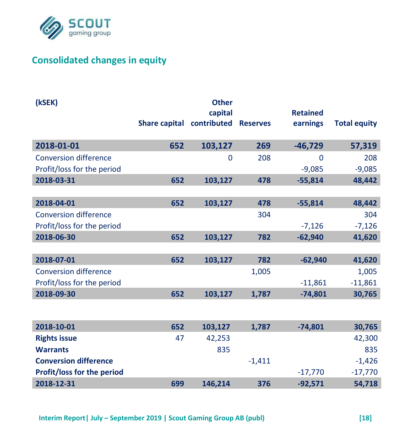

# **Consolidated changes in equity**

| (kSEK)                       |                                    | <b>Other</b> |          |                 |                     |
|------------------------------|------------------------------------|--------------|----------|-----------------|---------------------|
|                              |                                    | capital      |          | <b>Retained</b> |                     |
|                              | Share capital contributed Reserves |              |          | earnings        | <b>Total equity</b> |
| 2018-01-01                   | 652                                | 103,127      | 269      | $-46,729$       | 57,319              |
| <b>Conversion difference</b> |                                    | $\Omega$     | 208      | 0               | 208                 |
| Profit/loss for the period   |                                    |              |          | $-9.085$        | $-9,085$            |
| 2018-03-31                   | 652                                | 103,127      | 478      | $-55,814$       | 48,442              |
|                              |                                    |              |          |                 |                     |
| 2018-04-01                   | 652                                | 103,127      | 478      | $-55,814$       | 48,442              |
| <b>Conversion difference</b> |                                    |              | 304      |                 | 304                 |
| Profit/loss for the period   |                                    |              |          | $-7,126$        | $-7,126$            |
| 2018-06-30                   | 652                                | 103,127      | 782      | $-62.940$       | 41,620              |
|                              |                                    |              |          |                 |                     |
| 2018-07-01                   | 652                                | 103,127      | 782      | $-62.940$       | 41,620              |
| <b>Conversion difference</b> |                                    |              | 1,005    |                 | 1,005               |
| Profit/loss for the period   |                                    |              |          | $-11,861$       | $-11,861$           |
| 2018-09-30                   | 652                                | 103,127      | 1,787    | $-74,801$       | 30,765              |
|                              |                                    |              |          |                 |                     |
| 2018-10-01                   | 652                                | 103,127      | 1.787    | $-74.801$       | 30,765              |
| <b>Rights issue</b>          | 47                                 | 42,253       |          |                 | 42,300              |
| <b>Warrants</b>              |                                    | 835          |          |                 | 835                 |
| <b>Conversion difference</b> |                                    |              | $-1,411$ |                 | $-1,426$            |
| Profit/loss for the period   |                                    |              |          | $-17,770$       | $-17,770$           |
| 2018-12-31                   | 699                                | 146,214      | 376      | $-92,571$       | 54,718              |
|                              |                                    |              |          |                 |                     |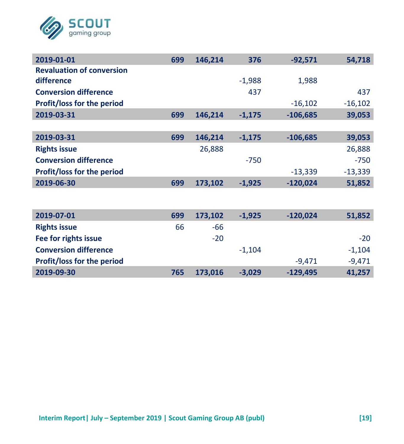

| 2019-01-01                       | 699 | 146,214 | 376      | $-92,571$  | 54,718    |
|----------------------------------|-----|---------|----------|------------|-----------|
| <b>Revaluation of conversion</b> |     |         |          |            |           |
| difference                       |     |         | $-1,988$ | 1,988      |           |
| <b>Conversion difference</b>     |     |         | 437      |            | 437       |
| Profit/loss for the period       |     |         |          | $-16,102$  | $-16,102$ |
| 2019-03-31                       | 699 | 146,214 | $-1,175$ | $-106,685$ | 39,053    |
|                                  |     |         |          |            |           |
| 2019-03-31                       | 699 | 146,214 | $-1,175$ | $-106,685$ | 39,053    |
| <b>Rights issue</b>              |     | 26,888  |          |            | 26,888    |
| <b>Conversion difference</b>     |     |         | $-750$   |            | $-750$    |
| Profit/loss for the period       |     |         |          | $-13,339$  | $-13,339$ |
| 2019-06-30                       | 699 | 173,102 | $-1,925$ | $-120,024$ | 51,852    |
|                                  |     |         |          |            |           |
|                                  |     |         |          |            |           |
| 2019-07-01                       | 699 | 173,102 | $-1,925$ | $-120,024$ | 51,852    |
| <b>Rights issue</b>              | 66  | $-66$   |          |            |           |
| Fee for rights issue             |     | $-20$   |          |            | $-20$     |
| <b>Conversion difference</b>     |     |         | $-1,104$ |            | $-1,104$  |
| Profit/loss for the period       |     |         |          | $-9,471$   | $-9,471$  |
| 2019-09-30                       | 765 | 173,016 | $-3,029$ | $-129,495$ | 41,257    |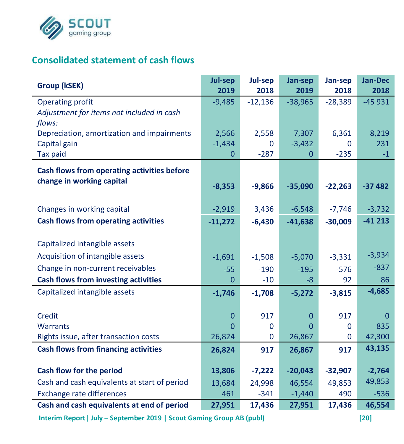

## **Consolidated statement of cash flows**

| Group (kSEK)                                 | <b>Jul-sep</b><br>2019 | Jul-sep<br>2018 | Jan-sep<br>2019 | Jan-sep<br>2018 | Jan-Dec<br>2018 |
|----------------------------------------------|------------------------|-----------------|-----------------|-----------------|-----------------|
| Operating profit                             | $-9,485$               | $-12,136$       | $-38,965$       | $-28,389$       | $-45931$        |
| Adjustment for items not included in cash    |                        |                 |                 |                 |                 |
| flows:                                       |                        |                 |                 |                 |                 |
| Depreciation, amortization and impairments   | 2,566                  | 2,558           | 7,307           | 6,361           | 8,219           |
| Capital gain                                 | $-1,434$               | $\Omega$        | $-3,432$        | U               | 231             |
| <b>Tax paid</b>                              | $\Omega$               | $-287$          | $\Omega$        | $-235$          | $-1$            |
| Cash flows from operating activities before  |                        |                 |                 |                 |                 |
| change in working capital                    | $-8,353$               | $-9,866$        | $-35,090$       | $-22,263$       | $-37482$        |
|                                              |                        |                 |                 |                 |                 |
| Changes in working capital                   | $-2,919$               | 3,436           | $-6,548$        | $-7,746$        | $-3,732$        |
| <b>Cash flows from operating activities</b>  | $-11,272$              | $-6,430$        | $-41,638$       | $-30,009$       | $-41213$        |
|                                              |                        |                 |                 |                 |                 |
| Capitalized intangible assets                |                        |                 |                 |                 |                 |
| Acquisition of intangible assets             | $-1,691$               | $-1,508$        | $-5,070$        | $-3,331$        | $-3,934$        |
| Change in non-current receivables            | $-55$                  | $-190$          | $-195$          | $-576$          | $-837$          |
| <b>Cash flows from investing activities</b>  | $\overline{0}$         | $-10$           | $-8$            | 92              | 86              |
| Capitalized intangible assets                | $-1,746$               | $-1,708$        | $-5,272$        | $-3,815$        | $-4,685$        |
|                                              |                        |                 |                 |                 |                 |
| Credit                                       | $\mathbf{0}$           | 917             | $\Omega$        | 917             | O               |
| <b>Warrants</b>                              | $\Omega$               | $\mathbf 0$     | $\Omega$        | $\mathbf 0$     | 835             |
| Rights issue, after transaction costs        | 26,824                 | $\mathbf 0$     | 26,867          | 0               | 42,300          |
| <b>Cash flows from financing activities</b>  | 26,824                 | 917             | 26,867          | 917             | 43,135          |
| Cash flow for the period                     | 13,806                 | $-7,222$        | $-20,043$       | $-32,907$       | $-2,764$        |
| Cash and cash equivalents at start of period | 13,684                 | 24,998          | 46,554          | 49,853          | 49,853          |
| Exchange rate differences                    | 461                    | $-341$          | $-1,440$        | 490             | $-536$          |
| Cash and cash equivalents at end of period   | 27,951                 | 17,436          | 27,951          | 17,436          | 46,554          |

**Interim Report| July – September 2019 | Scout Gaming Group AB (publ) [20]**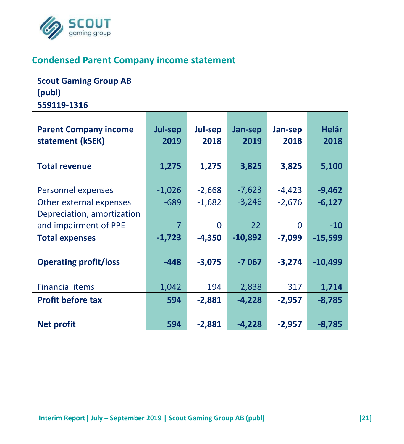

## **Condensed Parent Company income statement**

**Scout Gaming Group AB (publ) 559119-1316**

| <b>Parent Company income</b><br>statement (kSEK)                            | Jul-sep<br>2019    | Jul-sep<br>2018      | Jan-sep<br>2019      | Jan-sep<br>2018      | Helår<br>2018        |
|-----------------------------------------------------------------------------|--------------------|----------------------|----------------------|----------------------|----------------------|
| <b>Total revenue</b>                                                        | 1,275              | 1,275                | 3,825                | 3,825                | 5,100                |
| Personnel expenses<br>Other external expenses<br>Depreciation, amortization | $-1,026$<br>$-689$ | $-2,668$<br>$-1,682$ | $-7,623$<br>$-3,246$ | $-4,423$<br>$-2,676$ | $-9,462$<br>$-6,127$ |
| and impairment of PPE<br><b>Total expenses</b>                              | $-7$<br>$-1,723$   | $\Omega$<br>$-4.350$ | $-22$<br>$-10,892$   | 0<br>$-7.099$        | $-10$<br>$-15,599$   |
| <b>Operating profit/loss</b>                                                | $-448$             | $-3,075$             | $-7067$              | $-3,274$             | $-10,499$            |
| <b>Financial items</b>                                                      | 1,042              | 194                  | 2,838                | 317                  | 1,714                |
| <b>Profit before tax</b>                                                    | 594                | $-2,881$             | $-4,228$             | $-2,957$             | $-8,785$             |
| <b>Net profit</b>                                                           | 594                | $-2,881$             | $-4,228$             | $-2,957$             | $-8,785$             |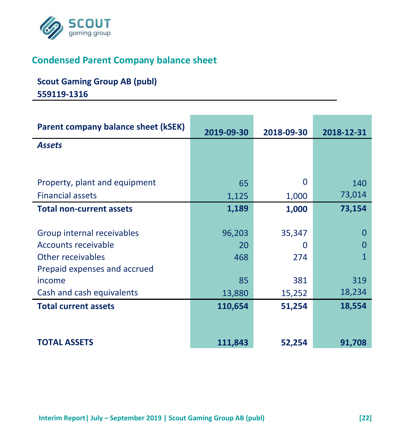

# **Condensed Parent Company balance sheet**

# **Scout Gaming Group AB (publ) 559119-1316**

| <b>Parent company balance sheet (kSEK)</b> | 2019-09-30 | 2018-09-30 | 2018-12-31 |
|--------------------------------------------|------------|------------|------------|
| <b>Assets</b>                              |            |            |            |
|                                            |            |            |            |
|                                            |            |            |            |
| Property, plant and equipment              | 65         | 0          | 140        |
| <b>Financial assets</b>                    | 1,125      | 1,000      | 73,014     |
| <b>Total non-current assets</b>            | 1,189      | 1,000      | 73,154     |
|                                            |            |            |            |
| Group internal receivables                 | 96,203     | 35,347     | 0          |
| <b>Accounts receivable</b>                 | 20         | 0          | O          |
| Other receivables                          | 468        | 274        | 1          |
| Prepaid expenses and accrued               |            |            |            |
| income                                     | 85         | 381        | 319        |
| Cash and cash equivalents                  | 13,880     | 15,252     | 18,234     |
| <b>Total current assets</b>                | 110,654    | 51,254     | 18,554     |
|                                            |            |            |            |
|                                            |            |            |            |
| <b>TOTAL ASSETS</b>                        | 111,843    | 52,254     | 91,708     |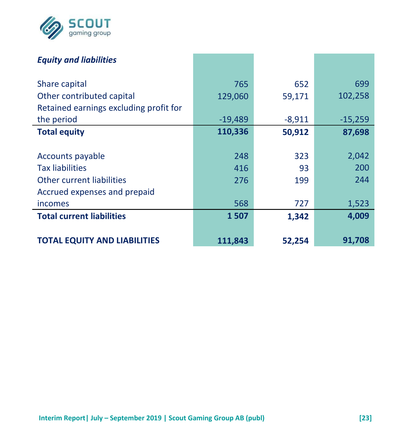

| <b>Equity and liabilities</b>          |           |          |           |
|----------------------------------------|-----------|----------|-----------|
| Share capital                          | 765       | 652      | 699       |
| Other contributed capital              | 129,060   | 59,171   | 102,258   |
| Retained earnings excluding profit for |           |          |           |
| the period                             | $-19,489$ | $-8,911$ | $-15,259$ |
| <b>Total equity</b>                    | 110,336   | 50,912   | 87,698    |
|                                        |           |          |           |
| Accounts payable                       | 248       | 323      | 2,042     |
| <b>Tax liabilities</b>                 | 416       | 93       | 200       |
| Other current liabilities              | 276       | 199      | 244       |
| Accrued expenses and prepaid           |           |          |           |
| incomes                                | 568       | 727      | 1,523     |
| <b>Total current liabilities</b>       | 1507      | 1,342    | 4,009     |
|                                        |           |          |           |
| <b>TOTAL EQUITY AND LIABILITIES</b>    | 111,843   | 52,254   | 91,708    |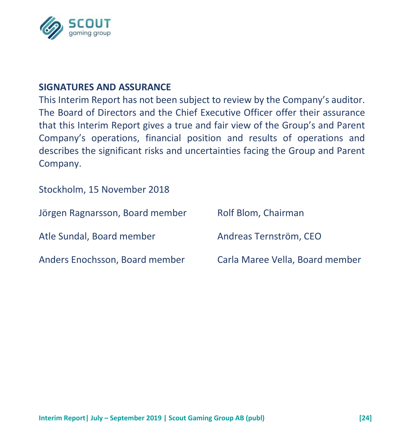

#### **SIGNATURES AND ASSURANCE**

This Interim Report has not been subject to review by the Company's auditor. The Board of Directors and the Chief Executive Officer offer their assurance that this Interim Report gives a true and fair view of the Group's and Parent Company's operations, financial position and results of operations and describes the significant risks and uncertainties facing the Group and Parent Company.

Stockholm, 15 November 2018

| Jörgen Ragnarsson, Board member | Rolf Blom, Chairman             |
|---------------------------------|---------------------------------|
| Atle Sundal, Board member       | Andreas Ternström, CEO          |
| Anders Enochsson, Board member  | Carla Maree Vella, Board member |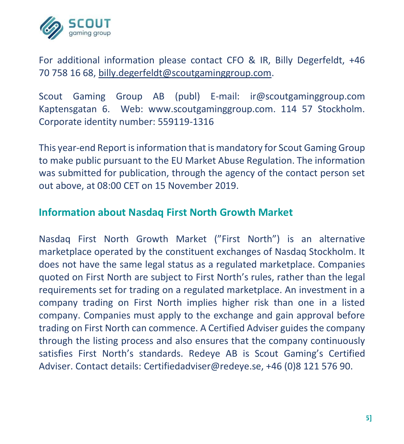

For additional information please contact CFO & IR, Billy Degerfeldt, +46 70 758 16 68, [billy.degerfeldt@scoutgaminggroup.com.](mailto:billy.degerfeldt@scoutgaminggroup.com)

Scout Gaming Group AB (publ) E-mail: ir@scoutgaminggroup.com Kaptensgatan 6. Web: www.scoutgaminggroup.com. 114 57 Stockholm. Corporate identity number: 559119-1316

This year-end Report is information that is mandatory for Scout Gaming Group to make public pursuant to the EU Market Abuse Regulation. The information was submitted for publication, through the agency of the contact person set out above, at 08:00 CET on 15 November 2019.

### **Information about Nasdaq First North Growth Market**

Nasdaq First North Growth Market ("First North") is an alternative marketplace operated by the constituent exchanges of Nasdaq Stockholm. It does not have the same legal status as a regulated marketplace. Companies quoted on First North are subject to First North's rules, rather than the legal requirements set for trading on a regulated marketplace. An investment in a company trading on First North implies higher risk than one in a listed company. Companies must apply to the exchange and gain approval before trading on First North can commence. A Certified Adviser guides the company through the listing process and also ensures that the company continuously satisfies First North's standards. Redeye AB is Scout Gaming's Certified Adviser. Contact details: Certifiedadviser@redeye.se, +46 (0)8 121 576 90.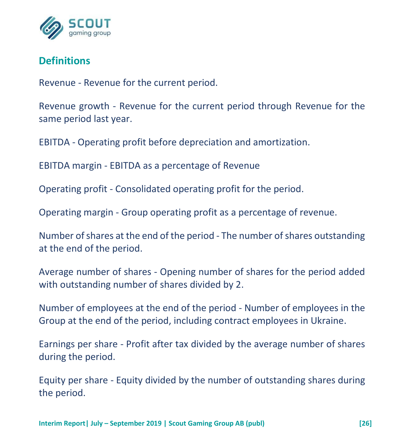

# **Definitions**

Revenue - Revenue for the current period.

Revenue growth - Revenue for the current period through Revenue for the same period last year.

EBITDA - Operating profit before depreciation and amortization.

EBITDA margin - EBITDA as a percentage of Revenue

Operating profit - Consolidated operating profit for the period.

Operating margin - Group operating profit as a percentage of revenue.

Number of shares at the end of the period - The number of shares outstanding at the end of the period.

Average number of shares - Opening number of shares for the period added with outstanding number of shares divided by 2.

Number of employees at the end of the period - Number of employees in the Group at the end of the period, including contract employees in Ukraine.

Earnings per share - Profit after tax divided by the average number of shares during the period.

Equity per share - Equity divided by the number of outstanding shares during the period.